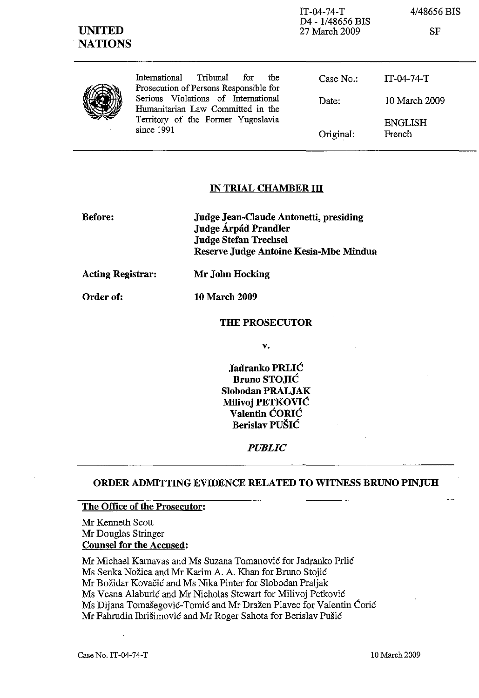| <b>UNITED</b><br><b>NATIONS</b> |                                                                                                                                                                                                                   | $IT-04-74-T$<br>D4 - 1/48656 BIS<br>27 March 2009 | 4/48656 BIS<br><b>SF</b> |
|---------------------------------|-------------------------------------------------------------------------------------------------------------------------------------------------------------------------------------------------------------------|---------------------------------------------------|--------------------------|
|                                 | Tribunal<br>International<br>for<br>the<br>Prosecution of Persons Responsible for<br>Serious Violations of International<br>Humanitarian Law Committed in the<br>Territory of the Former Yugoslavia<br>since 1991 | Case No.                                          | $IT-04-74-T$             |
|                                 |                                                                                                                                                                                                                   | Date:                                             | 10 March 2009            |
|                                 |                                                                                                                                                                                                                   | Original:                                         | <b>ENGLISH</b><br>French |

## **IN TRIAL CHAMBER ill**

| <b>Before:</b> | Judge Jean-Claude Antonetti, presiding |
|----------------|----------------------------------------|
|                | Judge Árpád Prandler                   |
|                | <b>Judge Stefan Trechsel</b>           |
|                | Reserve Judge Antoine Kesia-Mbe Mindua |
|                |                                        |

**Acting Registrar: Mr John Hocking** 

Order of: **10 March 2009** 

#### **THE PROSECUTOR**

v.

**Jadranko PRLIC Bruno STOJIC Slobodan PRALJAK Milivoj PETKOVIC Valentin CORIC Berislav PUSIC** 

#### *PUBLIC*

## **ORDER ADMITTING EVIDENCE RELATED TO WITNESS BRUNO PINJUH**

# **The Office of the Prosecutor:**

Mr Kenneth Scott Mr Douglas Stringer **Counsel for the Accused:** 

Mr Michael Karnavas and Ms Suzana Tomanović for Jadranko Prlić Ms Senka Nozica and Mr Karim A. A. Khan for Bruno Stojic Mr Bozidar Kovacic and Ms Nika Pinter for Slobodan Praljak Ms Vesna Alaburic and Mr Nicholas Stewart for Milivoj Petkovic Ms Dijana Tomasegovic-Tomic and Mr Drazen Plavec for Valentin Coric Mr Fahrudin Ibrisimovic and Mr Roger Sahota for Berislav Pusic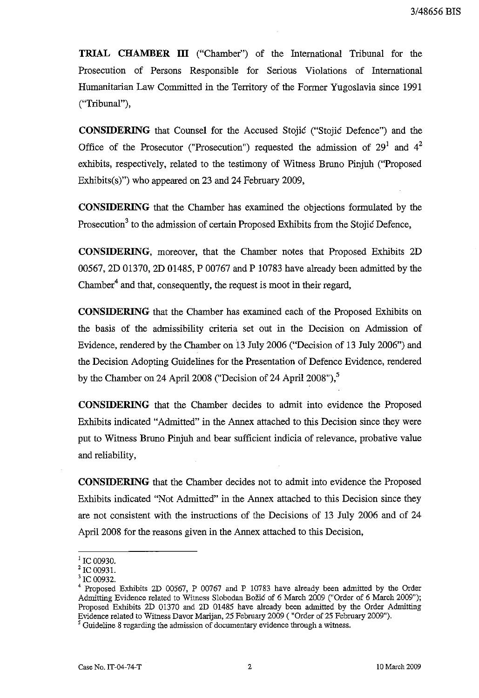**TRIAL CHAMBER III** ("Chamber") of the International Tribunal for the Prosecution of Persons Responsible for Serious Violations of International Humanitarian Law Committed in the Territory of the Former Yugoslavia since 1991 ("Tribunal"),

**CONSIDERING** that Counsel for the Accused Stojic ("Stojic Defence") and the Office of the Prosecutor ("Prosecution") requested the admission of  $29<sup>1</sup>$  and  $4<sup>2</sup>$ exhibits, respectively, related to the testimony of Witness Bruno Pinjuh ("Proposed Exhibits(s)") who appeared on 23 and 24 February 2009,

**CONSIDERING** that the Chamber has examined the objections formulated by the Prosecution<sup>3</sup> to the admission of certain Proposed Exhibits from the Stojic Defence,

**CONSIDERING,** moreover, that the Chamber notes that Proposed Exhibits 2D 00567, 2D 01370, 2D 01485, P 00767 and P 10783 have already been admitted by the Chamber<sup>4</sup> and that, consequently, the request is moot in their regard,

**CONSIDERING** that the Chamber has examined each of the Proposed Exhibits on the basis of the admissibility criteria set out in the Decision on Admission of Evidence, rendered by the Chamber on 13 July 2006 ("Decision of 13 July 2006") and the Decision Adopting Guidelines for the Presentation of Defence Evidence, rendered by the Chamber on 24 April 2008 ("Decision of 24 April 2008"), $5$ 

**CONSIDERING** that the Chamber decides to admit into evidence the Proposed Exhibits indicated "Admitted" in the Annex attached to this Decision since they were put to Witness Bruno Pinjuh and bear sufficient indicia of relevance, probative value and reliability,

**CONSIDERING** that the Chamber decides not to admit into evidence the Proposed Exhibits indicated "Not Admitted" in the Annex attached to this Decision since they are not consistent with the instructions of the Decisions of 13 July 2006 and of 24 April 2008 for the reasons given in the Annex attached to this Decision,

 $^{1}$  IC 00930.

<sup>&</sup>lt;sup>2</sup> IC 00931.

<sup>&</sup>lt;sup>3</sup> IC 00932.

<sup>4</sup> Proposed Exhibits 2D 00567, P 00767 and P 10783 have already been admitted by the Order Admitting Evidence related to Witness Slobodan Božić of 6 March 2009 ("Order of 6 March 2009"); Proposed Exhibits 2D 01370 and 2D 01485 have already been admitted by the Order Admitting Evidence related to Witness Davor Marijan, 25 February 2009 ( "Order of 25 February 2009").

<sup>&</sup>lt;sup>5</sup> Guideline 8 regarding the admission of documentary evidence through a witness.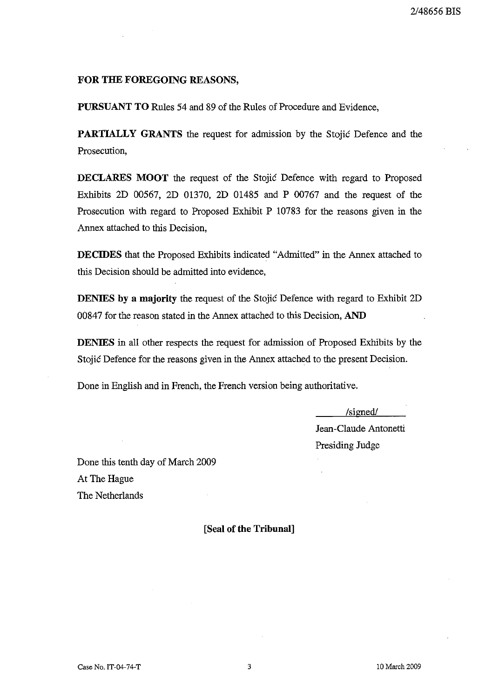## FOR THE FOREGOING REASONS,

PURSUANT TO Rules 54 and 89 of the Rules of Procedure and Evidence,

PARTIALLY GRANTS the request for admission by the Stojic Defence and the Prosecution,

DECLARES MOOT the request of the Stojic Defence with regard to Proposed Exhibits 2D 00567, 2D 01370, 2D 01485 and P 00767 and the request of the Prosecution with regard to Proposed Exhibit P 10783 for the reasons given in the Annex attached to this Decision,

DECIDES that the Proposed Exhibits indicated "Admitted" in the Annex attached to this Decision should be admitted into evidence,

DENIES by a majority the request of the Stojic Defence with regard to Exhibit 2D 00847 for the reason stated in the Annex attached to this Decision, AND

DENIES in all other respects the request for admission of Proposed Exhibits by the Stojic Defence for the reasons given in the Annex attached to the present Decision.

Done in English and in French, the French version being authoritative.

/signed/

Jean-Claude Antonetti Presiding Judge

Done this tenth day of March 2009 At The Hague The Netherlands

[Seal of the Tribunal]